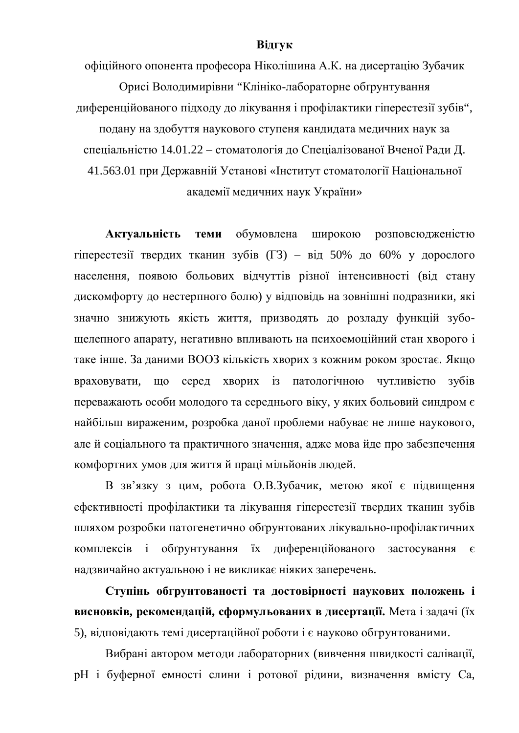## **Відгук**

офіційного опонента професора Ніколішина А.К. на дисертацію Зубачик Орисі Володимирівни "Клініко-лабораторне обґрунтування диференційованого підходу до лікування і профілактики гіперестезії зубів", подану на здобуття наукового ступеня кандидата медичних наук за спеціальністю 14.01.22 – стоматологія до Спеціалізованої Вченої Ради Д. 41.563.01 при Державній Установі «Інститут стоматології Національної академії медичних наук України»

Актуальність теми обумовлена широкою розповсюдженістю гіперестезії твердих тканин зубів (ГЗ) – від 50% до 60% у дорослого населення, появою больових відчуттів різної інтенсивності (від стану дискомфорту до нестерпного болю) у відповідь на зовнішні подразники, які значно знижують якість життя, призводять до розладу функцій зубощелепного апарату, негативно впливають на психоемоційний стан хворого і таке інше. За даними ВООЗ кількість хворих з кожним роком зростає. Якщо враховувати, що серед хворих із патологічною чутливістю зубів переважають особи молодого та середнього віку, у яких больовий синдром є найбільш вираженим, розробка даної проблеми набуває не лише наукового, але й соціального та практичного значення, адже мова йде про забезпечення комфортних умов для життя й праці мільйонів людей.

В зв'язку з цим, робота О.В.Зубачик, метою якої є підвищення ефективності профілактики та лікування гіперестезії твердих тканин зубів шляхом розробки патогенетично обґрунтованих лікувально-профілактичних комплексів і обґрунтування їх диференційованого застосування є надзвичайно актуальною і не викликає ніяких заперечень.

Ступінь обгрунтованості та достовірності наукових положень і **висновків, рекомендацій, сформульованих в дисертації.** Мета і задачі (їх 5), відповідають темі дисертаційної роботи і є науково обгрунтованими.

Вибрані автором методи лабораторних (вивчення швидкості салівації, рН і буферної емності слини і ротової рідини, визначення вмісту Са,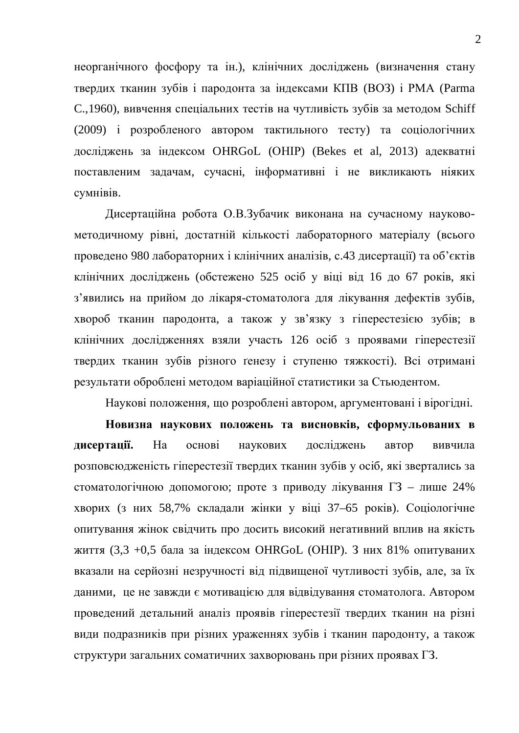неорганічного фосфору та ін.), клінічних досліджень (визначення стану твердих тканин зубів і пародонта за індексами КПВ (ВОЗ) і РМА (Parma C.,1960), вивчення спеціальних тестів на чутливість зубів за методом Schiff (2009) і розробленого автором тактильного тесту) та соціологічних досліджень за індексом OHRGoL (OHIP) (Bekes et al, 2013) адекватні поставленим задачам, сучасні, інформативні і не викликають ніяких сумнівів.

Дисертаційна робота О.В.Зубачик виконана на сучасному науковометодичному рівні, достатній кількості лабораторного матеріалу (всього проведено 980 лабораторних і клінічних аналізів, с.43 лисертації) та об'єктів клінічних досліджень (обстежено 525 ociб у віці від 16 до 67 років, які з'явились на прийом до лікаря-стоматолога для лікування дефектів зубів, хвороб тканин пародонта, а також у зв'язку з гіперестезією зубів; в клінічних дослідженнях взяли участь 126 осіб з проявами гіперестезії твердих тканин зубів різного ґенезу і ступеню тяжкості). Всі отримані результати оброблені методом варіаційної статистики за Стьюдентом.

Наукові положення, що розроблені автором, аргументовані і вірогідні.

**Новизна наукових положень та висновків, сформульованих в** дисертації. На основі наукових досліджень автор вивчила розповсюдженість гіперестезії твердих тканин зубів у осіб, які звертались за стоматологічною допомогою; проте з приводу лікування  $\Gamma$ 3 – лише 24% хворих (з них 58,7% складали жінки у віці 37–65 років). Соціологічне опитування жінок свідчить про досить високий негативний вплив на якість життя  $(3,3 +0,5)$  бала за індексом OHRGoL (OHIP). З них 81% опитуваних вказали на серйозні незручності від підвищеної чутливості зубів, але, за їх даними, це не завжди є мотивацією для відвідування стоматолога. Автором проведений детальний аналіз проявів гіперестезії твердих тканин на різні види подразників при різних ураженнях зубів і тканин пародонту, а також структури загальних соматичних захворювань при різних проявах  $\Gamma$ 3.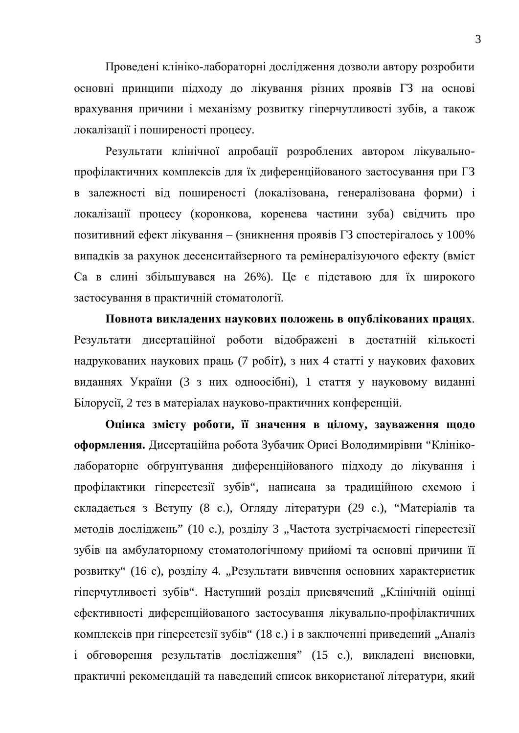Проведені клініко-лабораторні дослідження дозволи автору розробити основні принципи підходу до лікування різних проявів ГЗ на основі врахування причини і механізму розвитку гіперчутливості зубів, а також локалізації і поширеності процесу.

Результати клінічної апробації розроблених автором лікувальнопрофілактичних комплексів для їх диференційованого застосування при ГЗ в залежності від поширеності (локалізована, генералізована форми) і локалізації процесу (коронкова, коренева частини зуба) свідчить про позитивний ефект лікування – (зникнення проявів ГЗ спостерігалось у 100% випадків за рахунок десенситайзерного та ремінералізуючого ефекту (вміст Са в слині збільшувався на 26%). Це є підставою для їх широкого застосування в практичній стоматології.

Повнота викладених наукових положень в опублікованих працях. Результати дисертаційної роботи відображені в достатній кількості надрукованих наукових праць (7 робіт), з них 4 статті у наукових фахових виданнях України (3 з них одноосібні), 1 стаття у науковому виданні Білорусії, 2 тез в матеріалах науково-практичних конференцій.

**Оцінка змісту роботи, її значення в цілому, зауваження щодо оформлення.** Дисертаційна робота Зубачик Орисі Володимирівни "Клініколабораторне обгрунтування диференційованого підходу до лікування і профілактики гіперестезії зубів", написана за традиційною схемою і складається з Вступу (8 с.), Огляду літератури (29 с.), "Матеріалів та методів досліджень" (10 с.), розділу 3 "Частота зустрічаємості гіперестезії зубів на амбулаторному стоматологічному прийомі та основні причини її розвитку" (16 с), розділу 4. "Результати вивчення основних характеристик гіперчутливості зубів". Наступний розділ присвячений "Клінічній оцінці ефективності диференційованого застосування лікувально-профілактичних комплексів при гіперестезії зубів" (18 с.) і в заключенні приведений "Аналіз і обговорення результатів дослідження" (15 с.), викладені висновки, практичні рекомендацій та наведений список використаної літератури, який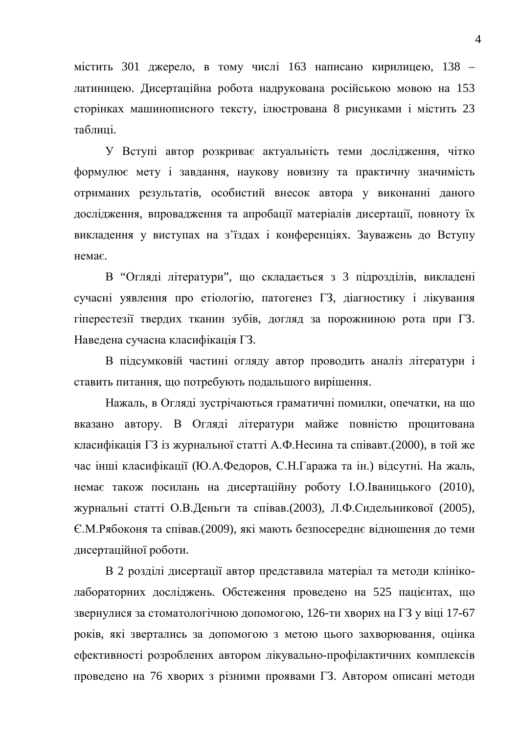містить 301 джерело, в тому числі 163 написано кирилицею, 138 – латиницею. Дисертаційна робота надрукована російською мовою на 153 сторінках машинописного тексту, ілюстрована 8 рисунками і містить 23 таблиці.

У Вступі автор розкриває актуальність теми лослілження, чітко формулює мету і завдання, наукову новизну та практичну значимість отриманих результатів, особистий внесок автора у виконанні даного дослідження, впровадження та апробації матеріалів дисертації, повноту їх викладення у виступах на з'їздах і конференціях. Зауважень до Вступу Hemae

В "Огляді літератури", що складається з 3 підрозділів, викладені сучасні уявлення про етіологію, патогенез ГЗ, діагностику і лікування гіперестезії твердих тканин зубів, догляд за порожниною рота при ГЗ. Наведена сучасна класифікація ГЗ.

В підсумковій частині огляду автор проводить аналіз літератури і ставить питання, що потребують подальшого вирішення.

Нажаль, в Огляді зустрічаються граматичні помилки, опечатки, на що вказано автору. В Огляді літератури майже повністю процитована класифікація ГЗ із журнальної статті А.Ф. Несина та співавт.(2000), в той же час інші класифікації (Ю.А.Федоров, С.Н.Гаража та ін.) відсутні. На жаль, немає також посилань на дисертаційну роботу І.О. Іваницького (2010), журнальні статті О.В.Деньги та співав.(2003), Л.Ф.Сидельникової (2005), €.М.Рябоконя та співав.(2009), які мають безпосереднє відношення до теми дисертаційної роботи.

В 2 розділі дисертації автор представила матеріал та методи клініколабораторних досліджень. Обстеження проведено на 525 пацієнтах, що звернулися за стоматологічною допомогою, 126-ти хворих на ГЗ у віці 17-67 років, які звертались за допомогою з метою цього захворювання, оцінка ефективності розроблених автором лікувально-профілактичних комплексів проведено на 76 хворих з різними проявами ГЗ. Автором описані методи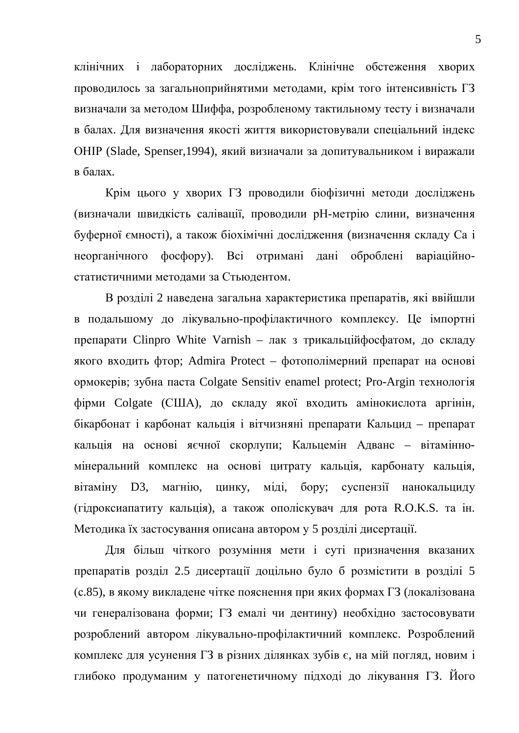клінічних і лабораторних досліджень. Клінічне обстеження хворих проводилось за загальноприйнятими методами, крім того інтенсивність ГЗ визначали за методом Шиффа, розробленому тактильному тесту і визначали в балах. Для визначення якості життя використовували спеціальний індекс ОНІР (Slade, Spenser,1994), який визначали за допитувальником і виражали  $\overline{B}$  балах.

Крім цього у хворих ГЗ проводили біофізичні методи досліджень (визначали швидкість салівації, проводили рН-метрію слини, визначення буферної ємності), а також біохімічні дослідження (визначення складу Са і неорганічного фосфору). Всі отримані дані оброблені варіаційностатистичними методами за Стьюдентом.

В розділі 2 наведена загальна характеристика препаратів, які ввійшли в подальшому до лікувально-профілактичного комплексу. Це імпортні препарати Clinpro White Varnish – лак з трикальційфосфатом, до складу якого входить фтор; Admira Protect – фотополімерний препарат на основі ормокерів; зубна паста Colgate Sensitiv enamel protect; Pro-Argin технологія фірми Colgate (США), до складу якої входить амінокислота аргінін, бікарбонат і карбонат кальція і вітчизняні препарати Кальцид – препарат кальція на основі яєчної скорлупи; Кальцемін Адванс - вітамінномінеральний комплекс на основі цитрату кальція, карбонату кальція, вітаміну D3, магнію, цинку, міді, бору; суспензії нанокальциду (гідроксиапатиту кальція), а також ополіскувач для рота R.O.K.S. та ін. Методика їх застосування описана автором у 5 розділі дисертації.

Для більш чіткого розуміння мети і суті призначення вказаних препаратів розділ 2.5 дисертації доцільно було б розмістити в розділі 5 (с.85), в якому викладене чітке пояснення при яких формах  $\Gamma$ 3 (локалізована чи генералізована форми; ГЗ емалі чи дентину) необхідно застосовувати розроблений автором лікувально-профілактичний комплекс. Розроблений хомплекс для усунення ГЗ в різних ділянках зубів є, на мій погляд, новим і глибоко продуманим у патогенетичному підході до лікування ГЗ. Його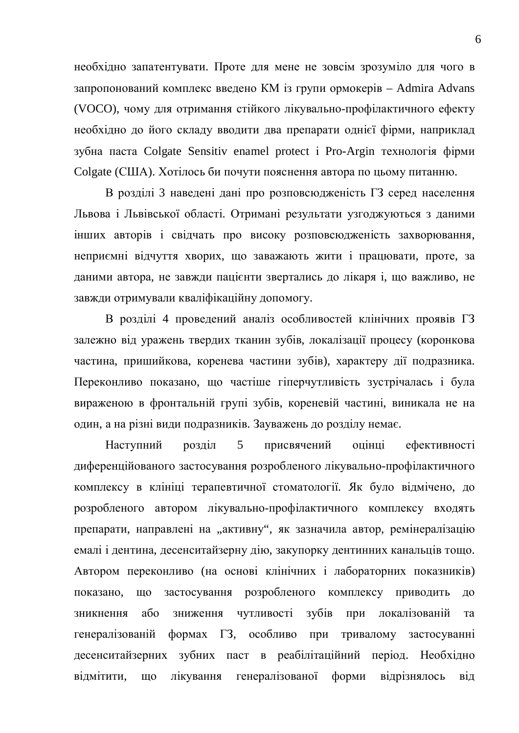необхідно запатентувати. Проте для мене не зовсім зрозуміло для чого в запропонований комплекс введено KM is групи ормокерiв – Admira Advans (VOCO), чому для отримання стійкого лікувально-профілактичного ефекту необхідно до його складу вводити два препарати однієї фірми, наприклад зубна паста Colgate Sensitiv enamel protect *i* Pro-Argin технологія фірми Colgate (США). Хотілось би почути пояснення автора по цьому питанню.

В розділі 3 наведені дані про розповсюдженість ГЗ серед населення Львова і Львівської області. Отримані результати узгоджуються з даними інших авторів і свідчать про високу розповсюдженість захворювання, неприємні відчуття хворих, що заважають жити і працювати, проте, за даними автора, не завжди пацієнти звертались до лікаря і, що важливо, не завжди отримували кваліфікаційну допомогу.

В розділі 4 проведений аналіз особливостей клінічних проявів ГЗ залежно від уражень твердих тканин зубів, локалізації процесу (коронкова частина, пришийкова, коренева частини зубів), характеру дії подразника. Переконливо показано, що частіше гіперчутливість зустрічалась і була вираженою в фронтальній групі зубів, кореневій частині, виникала не на один, а на різні види подразників. Зауважень до розділу немає.

Наступний розділ 5 присвячений оцінці ефективності диференційованого застосування розробленого лікувально-профілактичного комплексу в клініці терапевтичної стоматології. Як було відмічено, до розробленого автором лікувально-профілактичного комплексу входять препарати, направлені на "активну", як зазначила автор, ремінералізацію емалі і дентина, десенситайзерну дію, закупорку дентинних канальців тощо. Автором переконливо (на основі клінічних і лабораторних показників) показано, що застосування розробленого комплексу приводить до зникнення або зниження чутливості зубів при локалізованій та генералізованій формах ГЗ, особливо при тривалому застосуванні десенситайзерних зубних паст в реабілітаційний період. Необхідно відмітити, що лікування генералізованої форми відрізнялось від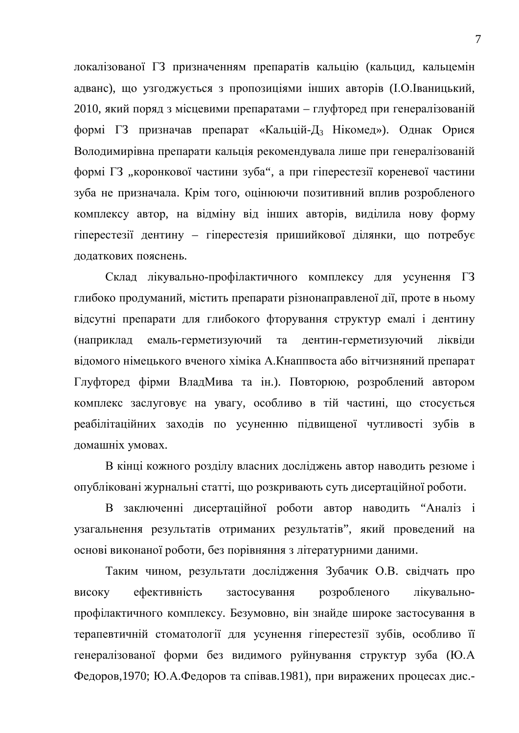локалізованої ГЗ призначенням препаратів кальцію (кальцид, кальцемін адванс), що узгоджується з пропозиціями інших авторів (І.О. Іваницький, 2010, який поряд з місцевими препаратами – глуфторед при генералізованій формі ГЗ призначав препарат «Кальцій-Д<sub>з</sub> Нікомед»). Однак Орися Володимирівна препарати кальція рекомендувала лише при генералізованій формі ГЗ "коронкової частини зуба", а при гіперестезії кореневої частини зуба не призначала. Крім того, оцінюючи позитивний вплив розробленого комплексу автор, на відміну від інших авторів, виділила нову форму гіперестезії дентину – гіперестезія пришийкової ділянки, що потребує лолаткових пояснень.

Склад лікувально-профілактичного комплексу для усунення ГЗ глибоко продуманий, містить препарати різнонаправленої дії, проте в ньому відсутні препарати для глибокого фторування структур емалі і дентину (наприклад емаль-герметизуючий та дентин-герметизуючий ліквіди відомого німецького вченого хіміка А. Кнаппвоста або вітчизняний препарат Глуфторед фірми ВладМива та ін.). Повторюю, розроблений автором комплекс заслуговує на увагу, особливо в тій частині, що стосується реабілітаційних заходів по усуненню підвищеної чутливості зубів в домашніх умовах.

В кінці кожного розділу власних досліджень автор наводить резюме і опубліковані журнальні статті, що розкривають суть дисертаційної роботи.

В заключенні дисертаційної роботи автор наводить "Аналіз і узагальнення результатів отриманих результатів", який проведений на основі виконаної роботи, без порівняння з літературними даними.

Таким чином, результати дослідження Зубачик О.В. свідчать про високу ефективність застосування розробленого лікувальнопрофілактичного комплексу. Безумовно, він знайде широке застосування в терапевтичній стоматології для усунення гіперестезії зубів, особливо її генералізованої форми без видимого руйнування структур зуба (Ю.А Федоров,1970; Ю.А.Федоров та співав.1981), при виражених процесах дис.-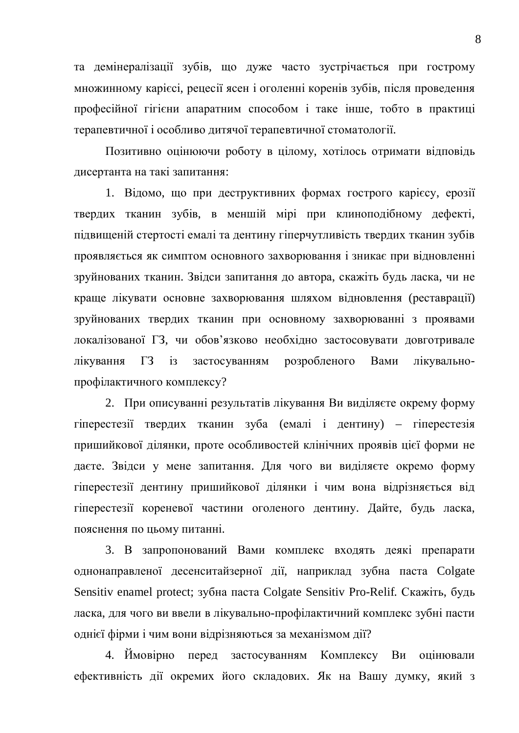та демінералізації зубів, що дуже часто зустрічається при гострому множинному карієсі, рецесії ясен і оголенні коренів зубів, після проведення професійної гігієни апаратним способом і таке інше, тобто в практиці терапевтичної і особливо дитячої терапевтичної стоматології.

Позитивно оцінюючи роботу в цілому, хотілось отримати відповідь дисертанта на такі запитання:

1. Відомо, що при деструктивних формах гострого карієсу, ерозії твердих тканин зубів, в меншій мірі при клиноподібному дефекті, підвищеній стертості емалі та дентину гіперчутливість твердих тканин зубів проявляється як симптом основного захворювання і зникає при вілновленні зруйнованих тканин. Звідси запитання до автора, скажіть будь ласка, чи не краще лікувати основне захворювання шляхом відновлення (реставрації) зруйнованих твердих тканин при основному захворюванні з проявами локалізованої ГЗ, чи обов'язково необхідно застосовувати довготривале лікування ГЗ із застосуванням розробленого Вами лікувальнопрофілактичного комплексу?

2. При описуванні результатів лікування Ви виділяєте окрему форму гіперестезії твердих тканин зуба (емалі і дентину) – гіперестезія пришийкової ділянки, проте особливостей клінічних проявів цієї форми не даєте. Звідси у мене запитання. Для чого ви виділяєте окремо форму гіперестезії дентину пришийкової ділянки і чим вона відрізняється від гіперестезії кореневої частини оголеного дентину. Дайте, будь ласка, пояснення по цьому питанні.

3. В запропонований Вами комплекс входять деякі препарати однонаправленої десенситайзерної дії, наприклад зубна паста Colgate Sensitiv enamel protect; зубна паста Colgate Sensitiv Pro-Relif. Скажіть, будь ласка, для чого ви ввели в лікувально-профілактичний комплекс зубні пасти однієї фірми і чим вони відрізняються за механізмом дії?

4. Ймовірно перед застосуванням Комплексу Ви оцінювали ефективність дії окремих його складових. Як на Вашу думку, який з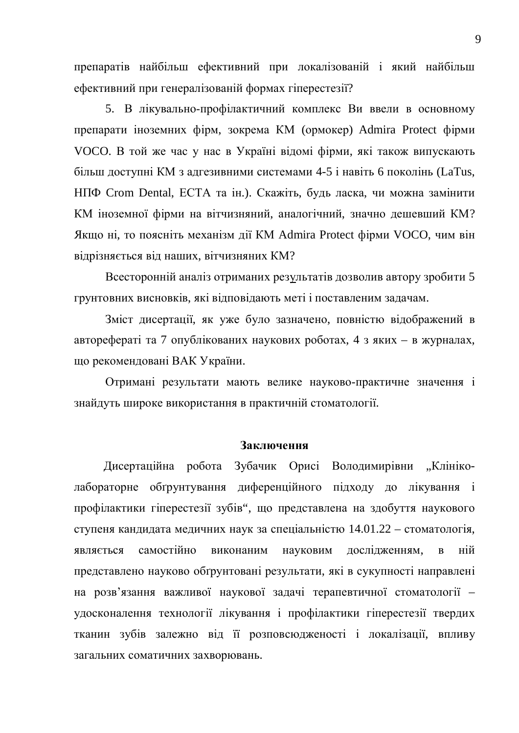препаратів найбільш ефективний при локалізованій і який найбільш ефективний при генералізованій формах гіперестезії?

5. В лікувально-профілактичний комплекс Ви ввели в основному препарати іноземних фірм, зокрема КМ (ормокер) Admira Protect фірми VOCO. В той же час у нас в Україні відомі фірми, які також випускають більш доступні КМ з адгезивними системами 4-5 і навіть 6 поколінь (LaTus, НПФ Crom Dental, ЕСТА та ін.). Скажіть, будь ласка, чи можна замінити КМ іноземної фірми на вітчизняний, аналогічний, значно дешевший КМ? Якщо ні, то поясніть механізм дії КМ Admira Protect фірми VOCO, чим він відрізняється від наших, вітчизняних КМ?

Всесторонній аналіз отриманих результатів дозволив автору зробити 5 грунтовних висновків, які відповідають меті і поставленим задачам.

Зміст дисертації, як уже було зазначено, повністю відображений в авторефераті та 7 опублікованих наукових роботах, 4 з яких – в журналах, що рекомендовані ВАК України.

Отримані результати мають велике науково-практичне значення і знайдуть широке використання в практичній стоматології.

## Заключення

Дисертаційна робота Зубачик Орисі Володимирівни "Клініколабораторне обгрунтування диференційного підходу до лікування і профілактики гіперестезії зубів", що представлена на здобуття наукового ступеня кандидата медичних наук за спеціальністю  $14.01.22$  – стоматологія, являється самостійно виконаним науковим дослідженням, в ній представлено науково обгрунтовані результати, які в сукупності направлені на розв'язання важливої наукової задачі терапевтичної стоматології удосконалення технології лікування і профілактики гіперестезії твердих тканин зубів залежно від її розповсюдженості і локалізації, впливу загальних соматичних захворювань.